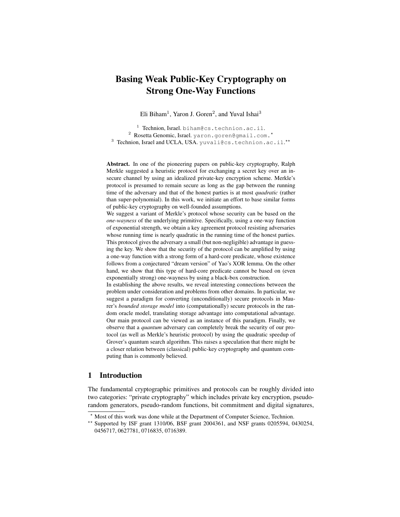# Basing Weak Public-Key Cryptography on Strong One-Way Functions

Eli Biham<sup>1</sup>, Yaron J. Goren<sup>2</sup>, and Yuval Ishai<sup>3</sup>

<sup>1</sup> Technion, Israel. biham@cs.technion.ac.il. <sup>2</sup> Rosetta Genomic, Israel. yaron.goren@gmail.com.<sup>\*</sup> <sup>3</sup> Technion, Israel and UCLA, USA. yuvali@cs.technion.ac.il.\*\*

Abstract. In one of the pioneering papers on public-key cryptography, Ralph Merkle suggested a heuristic protocol for exchanging a secret key over an insecure channel by using an idealized private-key encryption scheme. Merkle's protocol is presumed to remain secure as long as the gap between the running time of the adversary and that of the honest parties is at most *quadratic* (rather than super-polynomial). In this work, we initiate an effort to base similar forms of public-key cryptography on well-founded assumptions.

We suggest a variant of Merkle's protocol whose security can be based on the *one-wayness* of the underlying primitive. Specifically, using a one-way function of exponential strength, we obtain a key agreement protocol resisting adversaries whose running time is nearly quadratic in the running time of the honest parties. This protocol gives the adversary a small (but non-negligible) advantage in guessing the key. We show that the security of the protocol can be amplified by using a one-way function with a strong form of a hard-core predicate, whose existence follows from a conjectured "dream version" of Yao's XOR lemma. On the other hand, we show that this type of hard-core predicate cannot be based on (even exponentially strong) one-wayness by using a black-box construction.

In establishing the above results, we reveal interesting connections between the problem under consideration and problems from other domains. In particular, we suggest a paradigm for converting (unconditionally) secure protocols in Maurer's *bounded storage model* into (computationally) secure protocols in the random oracle model, translating storage advantage into computational advantage. Our main protocol can be viewed as an instance of this paradigm. Finally, we observe that a *quantum* adversary can completely break the security of our protocol (as well as Merkle's heuristic protocol) by using the quadratic speedup of Grover's quantum search algorithm. This raises a speculation that there might be a closer relation between (classical) public-key cryptography and quantum computing than is commonly believed.

### 1 Introduction

The fundamental cryptographic primitives and protocols can be roughly divided into two categories: "private cryptography" which includes private key encryption, pseudorandom generators, pseudo-random functions, bit commitment and digital signatures,

<sup>?</sup> Most of this work was done while at the Department of Computer Science, Technion.

<sup>\*\*</sup> Supported by ISF grant 1310/06, BSF grant 2004361, and NSF grants 0205594, 0430254, 0456717, 0627781, 0716835, 0716389.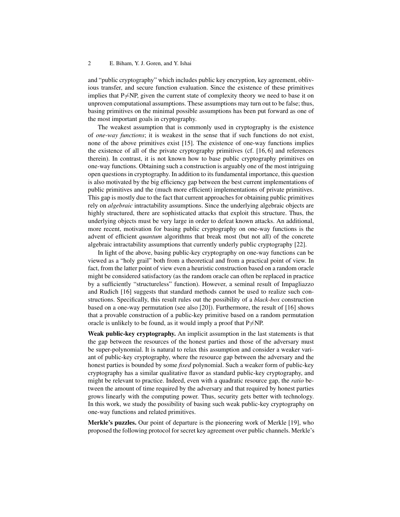and "public cryptography" which includes public key encryption, key agreement, oblivious transfer, and secure function evaluation. Since the existence of these primitives implies that  $P\neq NP$ , given the current state of complexity theory we need to base it on unproven computational assumptions. These assumptions may turn out to be false; thus, basing primitives on the minimal possible assumptions has been put forward as one of the most important goals in cryptography.

The weakest assumption that is commonly used in cryptography is the existence of *one-way functions*; it is weakest in the sense that if such functions do not exist, none of the above primitives exist [15]. The existence of one-way functions implies the existence of all of the private cryptography primitives (cf. [16, 6] and references therein). In contrast, it is not known how to base public cryptography primitives on one-way functions. Obtaining such a construction is arguably one of the most intriguing open questions in cryptography. In addition to its fundamental importance, this question is also motivated by the big efficiency gap between the best current implementations of public primitives and the (much more efficient) implementations of private primitives. This gap is mostly due to the fact that current approaches for obtaining public primitives rely on *algebraic* intractability assumptions. Since the underlying algebraic objects are highly structured, there are sophisticated attacks that exploit this structure. Thus, the underlying objects must be very large in order to defeat known attacks. An additional, more recent, motivation for basing public cryptography on one-way functions is the advent of efficient *quantum* algorithms that break most (but not all) of the concrete algebraic intractability assumptions that currently underly public cryptography [22].

In light of the above, basing public-key cryptography on one-way functions can be viewed as a "holy grail" both from a theoretical and from a practical point of view. In fact, from the latter point of view even a heuristic construction based on a random oracle might be considered satisfactory (as the random oracle can often be replaced in practice by a sufficiently "structureless" function). However, a seminal result of Impagliazzo and Rudich [16] suggests that standard methods cannot be used to realize such constructions. Specifically, this result rules out the possibility of a *black-box* construction based on a one-way permutation (see also [20]). Furthermore, the result of [16] shows that a provable construction of a public-key primitive based on a random permutation oracle is unlikely to be found, as it would imply a proof that  $P\neq NP$ .

Weak public-key cryptography. An implicit assumption in the last statements is that the gap between the resources of the honest parties and those of the adversary must be super-polynomial. It is natural to relax this assumption and consider a weaker variant of public-key cryptography, where the resource gap between the adversary and the honest parties is bounded by some *fixed* polynomial. Such a weaker form of public-key cryptography has a similar qualitative flavor as standard public-key cryptography, and might be relevant to practice. Indeed, even with a quadratic resource gap, the *ratio* between the amount of time required by the adversary and that required by honest parties grows linearly with the computing power. Thus, security gets better with technology. In this work, we study the possibility of basing such weak public-key cryptography on one-way functions and related primitives.

Merkle's puzzles. Our point of departure is the pioneering work of Merkle [19], who proposed the following protocol for secret key agreement over public channels. Merkle's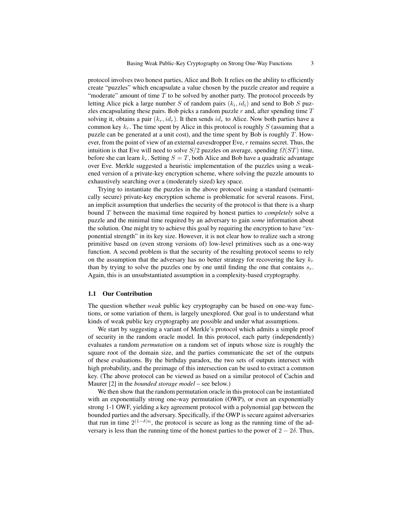protocol involves two honest parties, Alice and Bob. It relies on the ability to efficiently create "puzzles" which encapsulate a value chosen by the puzzle creator and require a "moderate" amount of time  $T$  to be solved by another party. The protocol proceeds by letting Alice pick a large number S of random pairs  $(k_i, id_i)$  and send to Bob S puzzles encapsulating these pairs. Bob picks a random puzzle  $r$  and, after spending time  $T$ solving it, obtains a pair  $(k_r, id_r)$ . It then sends  $id_r$  to Alice. Now both parties have a common key  $k_r$ . The time spent by Alice in this protocol is roughly S (assuming that a puzzle can be generated at a unit cost), and the time spent by Bob is roughly  $T$ . However, from the point of view of an external eavesdropper Eve, r remains secret. Thus, the intuition is that Eve will need to solve  $S/2$  puzzles on average, spending  $\Omega(ST)$  time, before she can learn  $k_r$ . Setting  $S = T$ , both Alice and Bob have a quadratic advantage over Eve. Merkle suggested a heuristic implementation of the puzzles using a weakened version of a private-key encryption scheme, where solving the puzzle amounts to exhaustively searching over a (moderately sized) key space.

Trying to instantiate the puzzles in the above protocol using a standard (semantically secure) private-key encryption scheme is problematic for several reasons. First, an implicit assumption that underlies the security of the protocol is that there is a sharp bound T between the maximal time required by honest parties to *completely* solve a puzzle and the minimal time required by an adversary to gain *some* information about the solution. One might try to achieve this goal by requiring the encryption to have "exponential strength" in its key size. However, it is not clear how to realize such a strong primitive based on (even strong versions of) low-level primitives such as a one-way function. A second problem is that the security of the resulting protocol seems to rely on the assumption that the adversary has no better strategy for recovering the key  $k_r$ than by trying to solve the puzzles one by one until finding the one that contains  $s_r$ . Again, this is an unsubstantiated assumption in a complexity-based cryptography.

### 1.1 Our Contribution

The question whether *weak* public key cryptography can be based on one-way functions, or some variation of them, is largely unexplored. Our goal is to understand what kinds of weak public key cryptography are possible and under what assumptions.

We start by suggesting a variant of Merkle's protocol which admits a simple proof of security in the random oracle model. In this protocol, each party (independently) evaluates a random *permutation* on a random set of inputs whose size is roughly the square root of the domain size, and the parties communicate the set of the outputs of these evaluations. By the birthday paradox, the two sets of outputs intersect with high probability, and the preimage of this intersection can be used to extract a common key. (The above protocol can be viewed as based on a similar protocol of Cachin and Maurer [2] in the *bounded storage model* – see below.)

We then show that the random permutation oracle in this protocol can be instantiated with an exponentially strong one-way permutation (OWP), or even an exponentially strong 1-1 OWF, yielding a key agreement protocol with a polynomial gap between the bounded parties and the adversary. Specifically, if the OWP is secure against adversaries that run in time  $2^{(1-\delta)n}$ , the protocol is secure as long as the running time of the adversary is less than the running time of the honest parties to the power of  $2 - 2\delta$ . Thus,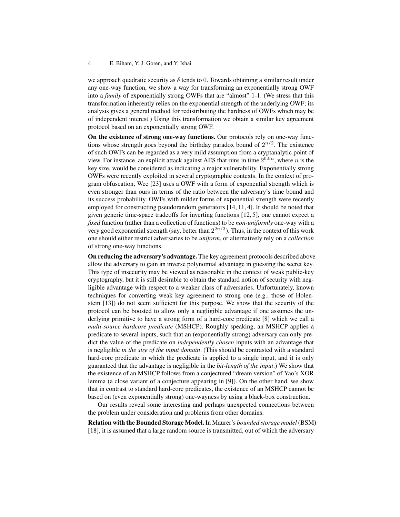we approach quadratic security as  $\delta$  tends to 0. Towards obtaining a similar result under any one-way function, we show a way for transforming an exponentially strong OWF into a *family* of exponentially strong OWFs that are "almost" 1-1. (We stress that this transformation inherently relies on the exponential strength of the underlying OWF; its analysis gives a general method for redistributing the hardness of OWFs which may be of independent interest.) Using this transformation we obtain a similar key agreement protocol based on an exponentially strong OWF.

On the existence of strong one-way functions. Our protocols rely on one-way functions whose strength goes beyond the birthday paradox bound of  $2^{n/2}$ . The existence of such OWFs can be regarded as a very mild assumption from a cryptanalytic point of view. For instance, an explicit attack against AES that runs in time  $2^{0.9n}$ , where *n* is the key size, would be considered as indicating a major vulnerability. Exponentially strong OWFs were recently exploited in several cryptographic contexts. In the context of program obfuscation, Wee [23] uses a OWF with a form of exponential strength which is even stronger than ours in terms of the ratio between the adversary's time bound and its success probability. OWFs with milder forms of exponential strength were recently employed for constructing pseudorandom generators [14, 11, 4]. It should be noted that given generic time-space tradeoffs for inverting functions [12, 5], one cannot expect a *fixed* function (rather than a collection of functions) to be *non-uniformly* one-way with a very good exponential strength (say, better than  $2^{2n/3}$ ). Thus, in the context of this work one should either restrict adversaries to be *uniform*, or alternatively rely on a *collection* of strong one-way functions.

On reducing the adversary's advantage. The key agreement protocols described above allow the adversary to gain an inverse polynomial advantage in guessing the secret key. This type of insecurity may be viewed as reasonable in the context of weak public-key cryptography, but it is still desirable to obtain the standard notion of security with negligible advantage with respect to a weaker class of adversaries. Unfortunately, known techniques for converting weak key agreement to strong one (e.g., those of Holenstein [13]) do not seem sufficient for this purpose. We show that the security of the protocol can be boosted to allow only a negligible advantage if one assumes the underlying primitive to have a strong form of a hard-core predicate [8] which we call a *multi-source hardcore predicate* (MSHCP). Roughly speaking, an MSHCP applies a predicate to several inputs, such that an (exponentially strong) adversary can only predict the value of the predicate on *independently chosen* inputs with an advantage that is negligible *in the size of the input domain*. (This should be contrasted with a standard hard-core predicate in which the predicate is applied to a single input, and it is only guaranteed that the advantage is negligible in the *bit-length of the input*.) We show that the existence of an MSHCP follows from a conjectured "dream version" of Yao's XOR lemma (a close variant of a conjecture appearing in [9]). On the other hand, we show that in contrast to standard hard-core predicates, the existence of an MSHCP cannot be based on (even exponentially strong) one-wayness by using a black-box construction.

Our results reveal some interesting and perhaps unexpected connections between the problem under consideration and problems from other domains.

Relation with the Bounded Storage Model. In Maurer's *bounded storage model* (BSM) [18], it is assumed that a large random source is transmitted, out of which the adversary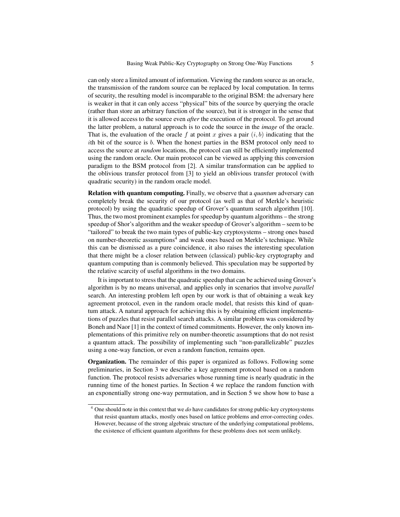can only store a limited amount of information. Viewing the random source as an oracle, the transmission of the random source can be replaced by local computation. In terms of security, the resulting model is incomparable to the original BSM: the adversary here is weaker in that it can only access "physical" bits of the source by querying the oracle (rather than store an arbitrary function of the source), but it is stronger in the sense that it is allowed access to the source even *after* the execution of the protocol. To get around the latter problem, a natural approach is to code the source in the *image* of the oracle. That is, the evaluation of the oracle f at point x gives a pair  $(i, b)$  indicating that the *i*th bit of the source is  $b$ . When the honest parties in the BSM protocol only need to access the source at *random* locations, the protocol can still be efficiently implemented using the random oracle. Our main protocol can be viewed as applying this conversion paradigm to the BSM protocol from [2]. A similar transformation can be applied to the oblivious transfer protocol from [3] to yield an oblivious transfer protocol (with quadratic security) in the random oracle model.

Relation with quantum computing. Finally, we observe that a *quantum* adversary can completely break the security of our protocol (as well as that of Merkle's heuristic protocol) by using the quadratic speedup of Grover's quantum search algorithm [10]. Thus, the two most prominent examples for speedup by quantum algorithms – the strong speedup of Shor's algorithm and the weaker speedup of Grover's algorithm – seem to be "tailored" to break the two main types of public-key cryptosystems – strong ones based on number-theoretic assumptions<sup>4</sup> and weak ones based on Merkle's technique. While this can be dismissed as a pure coincidence, it also raises the interesting speculation that there might be a closer relation between (classical) public-key cryptography and quantum computing than is commonly believed. This speculation may be supported by the relative scarcity of useful algorithms in the two domains.

It is important to stress that the quadratic speedup that can be achieved using Grover's algorithm is by no means universal, and applies only in scenarios that involve *parallel* search. An interesting problem left open by our work is that of obtaining a weak key agreement protocol, even in the random oracle model, that resists this kind of quantum attack. A natural approach for achieving this is by obtaining efficient implementations of puzzles that resist parallel search attacks. A similar problem was considered by Boneh and Naor [1] in the context of timed commitments. However, the only known implementations of this primitive rely on number-theoretic assumptions that do not resist a quantum attack. The possibility of implementing such "non-parallelizable" puzzles using a one-way function, or even a random function, remains open.

Organization. The remainder of this paper is organized as follows. Following some preliminaries, in Section 3 we describe a key agreement protocol based on a random function. The protocol resists adversaries whose running time is nearly quadratic in the running time of the honest parties. In Section 4 we replace the random function with an exponentially strong one-way permutation, and in Section 5 we show how to base a

<sup>4</sup> One should note in this context that we *do* have candidates for strong public-key cryptosystems that resist quantum attacks, mostly ones based on lattice problems and error-correcting codes. However, because of the strong algebraic structure of the underlying computational problems, the existence of efficient quantum algorithms for these problems does not seem unlikely.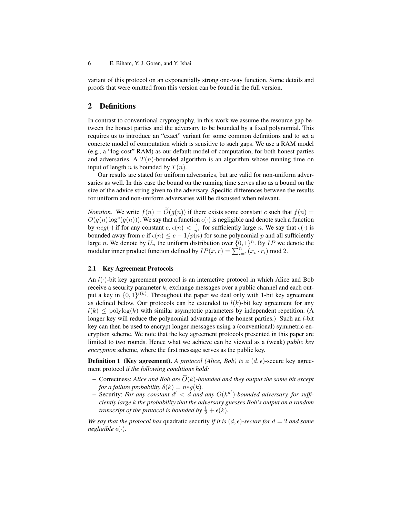variant of this protocol on an exponentially strong one-way function. Some details and proofs that were omitted from this version can be found in the full version.

### 2 Definitions

In contrast to conventional cryptography, in this work we assume the resource gap between the honest parties and the adversary to be bounded by a fixed polynomial. This requires us to introduce an "exact" variant for some common definitions and to set a concrete model of computation which is sensitive to such gaps. We use a RAM model (e.g., a "log-cost" RAM) as our default model of computation, for both honest parties and adversaries. A  $T(n)$ -bounded algorithm is an algorithm whose running time on input of length *n* is bounded by  $T(n)$ .

Our results are stated for uniform adversaries, but are valid for non-uniform adversaries as well. In this case the bound on the running time serves also as a bound on the size of the advice string given to the adversary. Specific differences between the results for uniform and non-uniform adversaries will be discussed when relevant.

*Notation.* We write  $f(n) = \widetilde{O}(g(n))$  if there exists some constant c such that  $f(n)$  $O(g(n) \log^c(g(n)))$ . We say that a function  $\epsilon(\cdot)$  is negligible and denote such a function by  $neg(\cdot)$  if for any constant  $c, \epsilon(n) < \frac{1}{n^c}$  for sufficiently large n. We say that  $\epsilon(\cdot)$  is bounded away from c if  $\epsilon(n) \leq c - 1/p(n)$  for some polynomial p and all sufficiently large *n*. We denote by  $U_n$  the uniform distribution over  $\{0, 1\}^n$ . By IP we denote the rarge *n*. we denote by  $U_n$  the uniform distribution over  $\{0, 1\}^n$ . By  $IP$  we a modular inner product function defined by  $IP(x, r) = \sum_{i=1}^n (x_i \cdot r_i) \text{ mod } 2$ .

### 2.1 Key Agreement Protocols

An  $l(\cdot)$ -bit key agreement protocol is an interactive protocol in which Alice and Bob receive a security parameter  $k$ , exchange messages over a public channel and each output a key in  $\{0,1\}^{l(k)}$ . Throughout the paper we deal only with 1-bit key agreement as defined below. Our protocols can be extended to  $l(k)$ -bit key agreement for any  $l(k) \leq \text{polylog}(k)$  with similar asymptotic parameters by independent repetition. (A longer key will reduce the polynomial advantage of the honest parties.) Such an *l*-bit key can then be used to encrypt longer messages using a (conventional) symmetric encryption scheme. We note that the key agreement protocols presented in this paper are limited to two rounds. Hence what we achieve can be viewed as a (weak) *public key encryption* scheme, where the first message serves as the public key.

**Definition 1 (Key agreement).** *A protocol (Alice, Bob) is a*  $(d, \epsilon)$ *-secure key agree*ment protocol *if the following conditions hold:*

- $-$  Correctness: Alice and Bob are  $\widetilde{O}(k)$ -bounded and they output the same bit except *for a failure probability*  $\delta(k) = neg(k)$ *.*
- $\frac{d}{dt}$  Security: For any constant  $d' < d$  and any  $O(k^{d'})$ -bounded adversary, for suffi*ciently large* k *the probability that the adversary guesses Bob's output on a random transcript of the protocol is bounded by*  $\frac{1}{2} + \epsilon(k)$ *.*

*We say that the protocol has* quadratic security *if it is*  $(d, \epsilon)$ *-secure for*  $d = 2$  *and some negligible*  $\epsilon(\cdot)$ *.*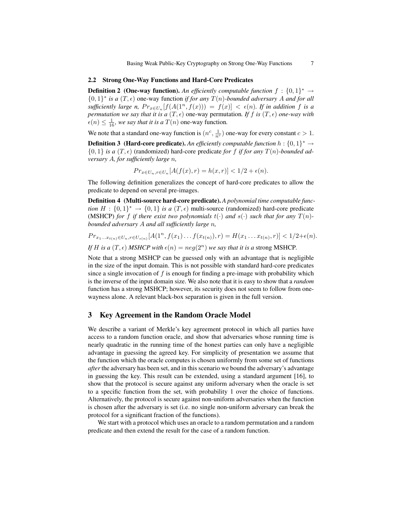### 2.2 Strong One-Way Functions and Hard-Core Predicates

**Definition 2 (One-way function).** An efficiently computable function  $f : \{0,1\}^* \rightarrow$ {0, 1}<sup>\*</sup> *is a* (*T*,  $\epsilon$ ) one-way function *if for any T*(*n*)*-bounded adversary A and for all*  $sufficiently large n, Pr_{x \in U_n}[f(A(1^n, f(x))) = f(x)] < \epsilon(n)$ . If in addition f is a *permutation we say that it is a*  $(T, \epsilon)$  one-way permutation. If f is  $(T, \epsilon)$  one-way with  $\epsilon(n) \leq \frac{1}{16}$ , we say that it is a  $T(n)$  one-way function.

We note that a standard one-way function is  $(n^c, \frac{1}{n^c})$  one-way for every constant  $c > 1$ .

**Definition 3** (Hard-core predicate). An efficiently computable function  $h: \{0,1\}^* \rightarrow$  $\{0, 1\}$  *is a*  $(T, \epsilon)$  (randomized) hard-core predicate *for f if for any*  $T(n)$ -bounded ad*versary* A*, for sufficiently large* n*,*

$$
Pr_{x \in U_n, r \in U_n}[A(f(x), r) = h(x, r)] < 1/2 + \epsilon(n).
$$

The following definition generalizes the concept of hard-core predicates to allow the predicate to depend on several pre-images.

Definition 4 (Multi-source hard-core predicate). *A polynomial time computable function*  $H : \{0,1\}^* \to \{0,1\}$  *is a*  $(T,\epsilon)$  multi-source (randomized) hard-core predicate (MSHCP) *for* f *if there exist two polynomials*  $t(\cdot)$  *and*  $s(\cdot)$  *such that for any*  $T(n)$ *bounded adversary* A *and all sufficiently large* n*,*

$$
Pr_{x_1...x_{t(n)} \in U_n, r \in U_{s(n)}}[A(1^n, f(x_1)...f(x_{t(n)}), r) = H(x_1...x_{t(n)}, r)] < 1/2 + \epsilon(n).
$$

*If* H is a  $(T, \epsilon)$  *MSHCP* with  $\epsilon(n) = neg(2^n)$  *we say that it is a strong MSHCP.* 

Note that a strong MSHCP can be guessed only with an advantage that is negligible in the size of the input domain. This is not possible with standard hard-core predicates since a single invocation of  $f$  is enough for finding a pre-image with probability which is the inverse of the input domain size. We also note that it is easy to show that a *random* function has a strong MSHCP; however, its security does not seem to follow from onewayness alone. A relevant black-box separation is given in the full version.

### 3 Key Agreement in the Random Oracle Model

We describe a variant of Merkle's key agreement protocol in which all parties have access to a random function oracle, and show that adversaries whose running time is nearly quadratic in the running time of the honest parties can only have a negligible advantage in guessing the agreed key. For simplicity of presentation we assume that the function which the oracle computes is chosen uniformly from some set of functions *after*the adversary has been set, and in this scenario we bound the adversary's advantage in guessing the key. This result can be extended, using a standard argument [16], to show that the protocol is secure against any uniform adversary when the oracle is set to a specific function from the set, with probability 1 over the choice of functions. Alternatively, the protocol is secure against non-uniform adversaries when the function is chosen after the adversary is set (i.e. no single non-uniform adversary can break the protocol for a significant fraction of the functions).

We start with a protocol which uses an oracle to a random permutation and a random predicate and then extend the result for the case of a random function.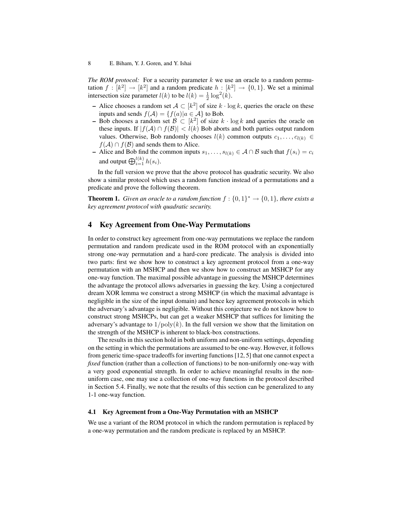*The ROM protocol:* For a security parameter  $k$  we use an oracle to a random permutation  $f : [k^2] \to [k^2]$  and a random predicate  $h : [k^2] \to \{0, 1\}$ . We set a minimal intersection size parameter  $l(k)$  to be  $l(k) = \frac{1}{2} \log^2(k)$ .

- Alice chooses a random set  $A \subset [k^2]$  of size  $k \cdot \log k$ , queries the oracle on these inputs and sends  $f(A) = \{f(a)|a \in A\}$  to Bob.
- Bob chooses a random set  $\mathcal{B} \subset [k^2]$  of size  $k \cdot \log k$  and queries the oracle on these inputs. If  $|f(A) \cap f(B)| < l(k)$  Bob aborts and both parties output random values. Otherwise, Bob randomly chooses  $l(k)$  common outputs  $c_1, \ldots, c_{l(k)} \in$  $f(A) \cap f(B)$  and sends them to Alice.
- Alice and Bob find the common inputs  $s_1, \ldots, s_{l(k)} \in A \cap B$  such that  $f(s_i) = c_i$ and output  $\bigoplus_{i=1}^{l(k)} h(s_i)$ .

In the full version we prove that the above protocol has quadratic security. We also show a similar protocol which uses a random function instead of a permutations and a predicate and prove the following theorem.

**Theorem 1.** *Given an oracle to a random function*  $f: \{0,1\}^* \rightarrow \{0,1\}$ *, there exists a key agreement protocol with quadratic security.*

### 4 Key Agreement from One-Way Permutations

In order to construct key agreement from one-way permutations we replace the random permutation and random predicate used in the ROM protocol with an exponentially strong one-way permutation and a hard-core predicate. The analysis is divided into two parts: first we show how to construct a key agreement protocol from a one-way permutation with an MSHCP and then we show how to construct an MSHCP for any one-way function. The maximal possible advantage in guessing the MSHCP determines the advantage the protocol allows adversaries in guessing the key. Using a conjectured dream XOR lemma we construct a strong MSHCP (in which the maximal advantage is negligible in the size of the input domain) and hence key agreement protocols in which the adversary's advantage is negligible. Without this conjecture we do not know how to construct strong MSHCPs, but can get a weaker MSHCP that suffices for limiting the adversary's advantage to  $1/\text{poly}(k)$ . In the full version we show that the limitation on the strength of the MSHCP is inherent to black-box constructions.

The results in this section hold in both uniform and non-uniform settings, depending on the setting in which the permutations are assumed to be one-way. However, it follows from generic time-space tradeoffs for inverting functions [12, 5] that one cannot expect a *fixed* function (rather than a collection of functions) to be non-uniformly one-way with a very good exponential strength. In order to achieve meaningful results in the nonuniform case, one may use a collection of one-way functions in the protocol described in Section 5.4. Finally, we note that the results of this section can be generalized to any 1-1 one-way function.

### 4.1 Key Agreement from a One-Way Permutation with an MSHCP

We use a variant of the ROM protocol in which the random permutation is replaced by a one-way permutation and the random predicate is replaced by an MSHCP.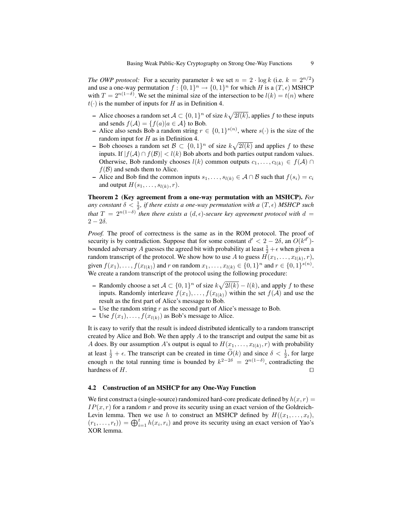*The OWP protocol:* For a security parameter k we set  $n = 2 \cdot \log k$  (i.e.  $k = 2^{n/2}$ ) and use a one-way permutation  $f: \{0,1\}^n \to \{0,1\}^n$  for which H is a  $(T, \epsilon)$  MSHCP with  $T = 2^{n(1-\delta)}$ . We set the minimal size of the intersection to be  $l(k) = t(n)$  where  $t(\cdot)$  is the number of inputs for H as in Definition 4.

- − Alice chooses a random set  $A \subset \{0,1\}^n$  of size  $k\sqrt{ }$  $2l(k)$ , applies f to these inputs and sends  $f(A) = \{f(a)|a \in A\}$  to Bob.
- Alice also sends Bob a random string  $r \in \{0,1\}^{s(n)}$ , where  $s(\cdot)$  is the size of the random input for H as in Definition 4.
- random input for *H* as in Definition 4.<br>
Bob chooses a random set  $\mathcal{B} \subset \{0,1\}^n$  of size  $k\sqrt{ }$  $2l(k)$  and applies f to these inputs. If  $|f(A) \cap f(B)| < l(k)$  Bob aborts and both parties output random values. Otherwise, Bob randomly chooses  $l(k)$  common outputs  $c_1, \ldots, c_{l(k)} \in f(A) \cap$  $f(\mathcal{B})$  and sends them to Alice.
- Alice and Bob find the common inputs  $s_1, \ldots, s_{l(k)} \in A \cap B$  such that  $f(s_i) = c_i$ and output  $H(s_1, \ldots, s_{l(k)}, r)$ .

Theorem 2 (Key agreement from a one-way permutation with an MSHCP). *For any constant*  $\delta < \frac{1}{2}$ , *if there exists a one-way permutation with a*  $(T, \epsilon)$  *MSHCP such that*  $T = 2^{n(1-\delta)}$  *then there exists a*  $(d, \epsilon)$ *-secure key agreement protocol with*  $d =$  $2 - 2\delta$ .

*Proof.* The proof of correctness is the same as in the ROM protocol. The proof of security is by contradiction. Suppose that for some constant  $d' < 2 - 2\delta$ , an  $O(k^{d'})$ bounded adversary A guesses the agreed bit with probability at least  $\frac{1}{2} + \epsilon$  when given a random transcript of the protocol. We show how to use A to guess  $H(x_1, \ldots, x_{l(k)}, r)$ , given  $f(x_1),..., f(x_{l(k)})$  and r on random  $x_1,...,x_{l(k)} \in \{0,1\}^n$  and  $r \in \{0,1\}^{s(n)}$ . We create a random transcript of the protocol using the following procedure:

- − Randomly choose a set  $A \subset \{0,1\}^n$  of size  $k\sqrt{ }$  $2l(k) - l(k)$ , and apply f to these inputs. Randomly interleave  $f(x_1), \ldots, f(x_{l(k)})$  within the set  $f(A)$  and use the result as the first part of Alice's message to Bob.
- Use the random string  $r$  as the second part of Alice's message to Bob.
- Use  $f(x_1), \ldots, f(x_{l(k)})$  as Bob's message to Alice.

It is easy to verify that the result is indeed distributed identically to a random transcript created by Alice and Bob. We then apply  $A$  to the transcript and output the same bit as A does. By our assumption A's output is equal to  $H(x_1, \ldots, x_{l(k)}, r)$  with probability at least  $\frac{1}{2} + \epsilon$ . The transcript can be created in time  $\tilde{O}(k)$  and since  $\delta < \frac{1}{2}$ , for large enough *n* the total running time is bounded by  $k^{2-2\delta} = 2^{n(1-\delta)}$ , contradicting the hardness of  $H$ .

### 4.2 Construction of an MSHCP for any One-Way Function

We first construct a (single-source) randomized hard-core predicate defined by  $h(x, r) =$  $IP(x, r)$  for a random r and prove its security using an exact version of the Goldreich-Levin lemma. Then we use h to construct an MSHCP defined by  $H((x_1, \ldots, x_t),$ Levin lemma. Then we use *n* to construct an MSHCP defined by  $H((x_1,...,x_t), (r_1,...,r_t)) = \bigoplus_{i=1}^t h(x_i, r_i)$  and prove its security using an exact version of Yao's XOR lemma.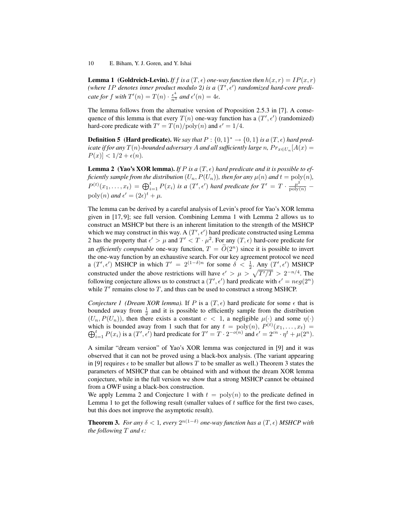**Lemma 1** (Goldreich-Levin). If f is a  $(T, \epsilon)$  one-way function then  $h(x, r) = IP(x, r)$ (where IP denotes inner product modulo 2) is a  $(T', \epsilon')$  randomized hard-core predi*cate for*  $f$  *with*  $T'(n) = T(n) \cdot \frac{\epsilon^4}{n^3}$  *and*  $\epsilon'(n) = 4\epsilon$ *.* 

The lemma follows from the alternative version of Proposition 2.5.3 in [7]. A consequence of this lemma is that every  $T(n)$  one-way function has a  $(T', \epsilon')$  (randomized) hard-core predicate with  $T' = T(n)/poly(n)$  and  $\epsilon' = 1/4$ .

**Definition 5** (Hard predicate). We say that  $P: \{0, 1\}^* \to \{0, 1\}$  is a  $(T, \epsilon)$  hard predicate if for any  $T(n)$ -bounded adversary  $A$  and all sufficiently large  $n$ ,  $Pr_{x \in U_n}[A(x) =$  $P(x) < 1/2 + \epsilon(n)$ .

**Lemma 2** (Yao's XOR lemma). If P is a  $(T, \epsilon)$  hard predicate and it is possible to ef*ficiently sample from the distribution*  $(U_n, P(U_n))$ *, then for any*  $\mu(n)$  *and*  $t = \text{poly}(n)$ *,*  $P^{(t)}(x_1, \ldots, x_t) = \bigoplus_{i=1}^t P(x_i)$  *is a*  $(T', \epsilon')$  *hard predicate for*  $T' = T \cdot \frac{\mu^2}{\text{poly}(n)}}$ poly(*n*) and  $\epsilon' = (2\epsilon)^t + \mu$ .

The lemma can be derived by a careful analysis of Levin's proof for Yao's XOR lemma given in [17, 9]; see full version. Combining Lemma 1 with Lemma 2 allows us to construct an MSHCP but there is an inherent limitation to the strength of the MSHCP which we may construct in this way. A  $(T', \epsilon')$  hard predicate constructed using Lemma 2 has the property that  $\epsilon' > \mu$  and  $T' < T \cdot \mu^2$ . For any  $(T, \epsilon)$  hard-core predicate for an *efficiently computable* one-way function,  $T = O(2^n)$  since it is possible to invert the one-way function by an exhaustive search. For our key agreement protocol we need a  $(T', \epsilon')$  MSHCP in which  $T' = 2^{(1-\delta)n}$  for some  $\delta < \frac{1}{2}$ . Any  $(T', \epsilon')$  MSHCP constructed under the above restrictions will have  $\epsilon' > \mu > \sqrt{T'/T} > 2^{-n/4}$ . The following conjecture allows us to construct a  $(T', \epsilon')$  hard predicate with  $\epsilon' = neg(2^n)$ while  $T'$  remains close to  $T$ , and thus can be used to construct a strong MSHCP.

*Conjecture 1 (Dream XOR lemma).* If P is a  $(T, \epsilon)$  hard predicate for some  $\epsilon$  that is bounded away from  $\frac{1}{2}$  and it is possible to efficiently sample from the distribution  $(U_n, P(U_n))$ , then there exists a constant  $c < 1$ , a negligible  $\mu(\cdot)$  and some  $\eta(\cdot)$ which is bounded away from 1 such that for any  $t = \text{poly}(n)$ ,  $P^{(t)}(x_1, \ldots, x_t) = \bigoplus_{i=1}^t P(x_i)$  is a  $(T', \epsilon')$  hard predicate for  $T' = T \cdot 2^{-o(n)}$  and  $\epsilon' = 2^{cn} \cdot \eta^t + \mu(2^n)$ .

A similar "dream version" of Yao's XOR lemma was conjectured in [9] and it was observed that it can not be proved using a black-box analysis. (The variant appearing in [9] requires  $\epsilon$  to be smaller but allows T to be smaller as well.) Theorem 3 states the parameters of MSHCP that can be obtained with and without the dream XOR lemma conjecture, while in the full version we show that a strong MSHCP cannot be obtained from a OWF using a black-box construction.

We apply Lemma 2 and Conjecture 1 with  $t = \text{poly}(n)$  to the predicate defined in Lemma 1 to get the following result (smaller values of  $t$  suffice for the first two cases, but this does not improve the asymptotic result).

**Theorem 3.** *For any*  $\delta < 1$ , *every*  $2^{n(1-\delta)}$  *one-way function has a*  $(T, \epsilon)$  *MSHCP with the following*  $T$  *and*  $\epsilon$ *:*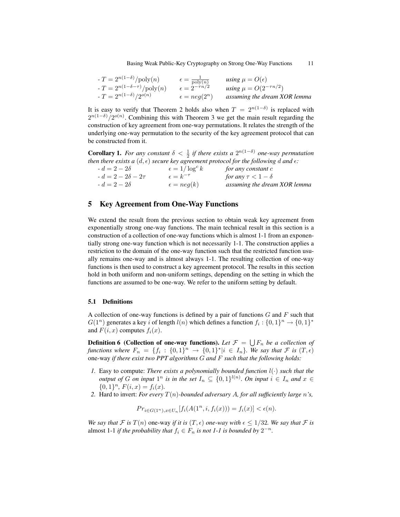Basing Weak Public-Key Cryptography on Strong One-Way Functions 11

| $T = 2^{n(1-\delta)}/poly(n)$             | $\epsilon = \frac{1}{\text{poly}(n)}$ $\epsilon = 2^{-\tau n/2}$ | using $\mu = O(\epsilon)$             |
|-------------------------------------------|------------------------------------------------------------------|---------------------------------------|
| $T = 2^{n(1-\delta-\tau)}/\text{poly}(n)$ |                                                                  | <i>using</i> $\mu = O(2^{-\tau n/2})$ |
| $T = 2^{n(1-\delta)}/2^{o(n)}$            | $\epsilon = neg(2^n)$                                            | assuming the dream XOR lemma          |

It is easy to verify that Theorem 2 holds also when  $T = 2^{n(1-\delta)}$  is replaced with  $2^{n(1-\delta)}/2^{o(n)}$ . Combining this with Theorem 3 we get the main result regarding the construction of key agreement from one-way permutations. It relates the strength of the underlying one-way permutation to the security of the key agreement protocol that can be constructed from it.

**Corollary 1.** For any constant  $\delta < \frac{1}{2}$  if there exists a  $2^{n(1-\delta)}$  one-way permutation *then there exists a*  $(d, \epsilon)$  *secure key agreement protocol for the following d and*  $\epsilon$ *:* 

| $d = 2 - 2\delta$         | $\epsilon = 1/\log^c k$ | for any constant c           |
|---------------------------|-------------------------|------------------------------|
| $d = 2 - 2\delta - 2\tau$ | $\epsilon = k^{-\tau}$  | for any $\tau < 1 - \delta$  |
| $d = 2 - 2\delta$         | $\epsilon = neq(k)$     | assuming the dream XOR lemma |

# 5 Key Agreement from One-Way Functions

We extend the result from the previous section to obtain weak key agreement from exponentially strong one-way functions. The main technical result in this section is a construction of a collection of one-way functions which is almost 1-1 from an exponentially strong one-way function which is not necessarily 1-1. The construction applies a restriction to the domain of the one-way function such that the restricted function usually remains one-way and is almost always 1-1. The resulting collection of one-way functions is then used to construct a key agreement protocol. The results in this section hold in both uniform and non-uniform settings, depending on the setting in which the functions are assumed to be one-way. We refer to the uniform setting by default.

### 5.1 Definitions

A collection of one-way functions is defined by a pair of functions  $G$  and  $F$  such that  $G(1^n)$  generates a key i of length  $l(n)$  which defines a function  $f_i: \{0,1\}^n \to \{0,1\}^*$ and  $F(i, x)$  computes  $f_i(x)$ .

**Definition 6 (Collection of one-way functions).** Let  $\mathcal{F} = \bigcup F_n$  be a collection of *functions where*  $F_n = \{f_i : \{0,1\}^n \to \{0,1\}^* | i \in I_n\}$ *. We say that*  $\mathcal F$  *is*  $(T,\epsilon)$ one-way *if there exist two PPT algorithms* G *and* F *such that the following holds:*

- *1.* Easy to compute: *There exists a polynomially bounded function* l(·) *such that the output of* G *on input*  $1^n$  *is in the set*  $I_n \subseteq \{0,1\}^{l(n)}$ *. On input*  $i \in I_n$  *and*  $x \in I_n$  ${0, 1}^n$ ,  $F(i, x) = f_i(x)$ .
- 2. Hard to invert: *For every*  $T(n)$ *-bounded adversary* A, *for all sufficiently large* n's,

$$
Pr_{i \in G(1^n), x \in U_n}[f_i(A(1^n, i, f_i(x))) = f_i(x)] < \epsilon(n).
$$

*We say that*  $\mathcal F$  *is*  $T(n)$  one-way *if it is*  $(T, \epsilon)$  *one-way with*  $\epsilon \leq 1/32$ *. We say that*  $\mathcal F$  *is* almost 1-1 *if the probability that*  $f_i \in F_n$  *is not 1-1 is bounded by*  $2^{-n}$ *.*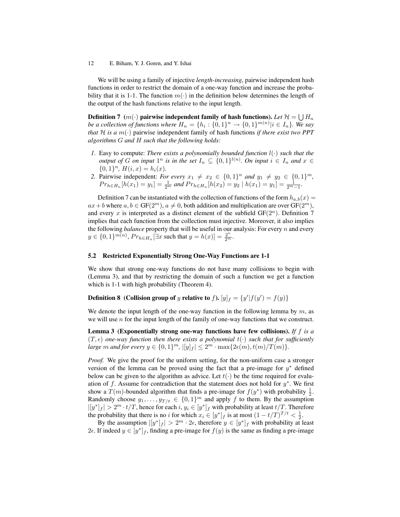#### 12 E. Biham, Y. J. Goren, and Y. Ishai

We will be using a family of injective *length-increasing*, pairwise independent hash functions in order to restrict the domain of a one-way function and increase the probability that it is 1-1. The function  $m(\cdot)$  in the definition below determines the length of the output of the hash functions relative to the input length.

Definition 7  $\ (m(\cdot)$  pairwise independent family of hash functions). Let  $\mathcal{H} = \bigcup H_n$ *be a collection of functions where*  $H_n = \{h_i : \{0,1\}^n \to \{0,1\}^{m(n)} | i \in I_n\}$ . We say *that*  $H$  *is a*  $m(\cdot)$  pairwise independent family of hash functions *if there exist two PPT algorithms* G *and* H *such that the following holds:*

- *1.* Easy to compute: *There exists a polynomially bounded function*  $l(\cdot)$  *such that the output of* G *on input*  $1^n$  *is in the set*  $I_n \subseteq \{0,1\}^{l(n)}$ *. On input*  $i \in I_n$  *and*  $x \in I_n$  ${0,1}<sup>n</sup>, H(i, x) = h<sub>i</sub>(x)$ .
- *2.* Pairwise independent: *For every*  $x_1 \neq x_2 \in \{0, 1\}^n$  *and*  $y_1 \neq y_2 \in \{0, 1\}^m$ ,  $Pr_{h \in H_n}[h(x_1) = y_1] = \frac{1}{2^m}$  and  $Pr_{h \in H_n}[h(x_2) = y_2 \mid h(x_1) = y_1] = \frac{1}{2^m-1}$ .

Definition 7 can be instantiated with the collection of functions of the form  $h_{a,b}(x) =$  $ax+b$  where  $a, b \in GF(2^m), a \neq 0$ , both addition and multiplication are over  $GF(2^m)$ , and every x is interpreted as a distinct element of the subfield  $GF(2<sup>n</sup>)$ . Definition 7 implies that each function from the collection must injective. Moreover, it also implies the following *balance* property that will be useful in our analysis: For every n and every  $y \in \{0,1\}^{m(n)}$ ,  $Pr_{h \in H_n}[\exists x \text{ such that } y = h(x)] = \frac{2^n}{2^m}$ .

### 5.2 Restricted Exponentially Strong One-Way Functions are 1-1

We show that strong one-way functions do not have many collisions to begin with (Lemma 3), and that by restricting the domain of such a function we get a function which is 1-1 with high probability (Theorem 4).

**Definition 8** (Collision group of y relative to f).  $[y]_f = \{y'|f(y') = f(y)\}\$ 

We denote the input length of the one-way function in the following lemma by  $m$ , as we will use  $n$  for the input length of the family of one-way functions that we construct.

Lemma 3 (Exponentially strong one-way functions have few collisions). *If* f *is a*  $(T, \epsilon)$  one-way function then there exists a polynomial  $t(\cdot)$  such that for sufficiently  $large \ m \ and \ for \ every \ y \in \{0,1\}^m, \ |[y]_f| \leq 2^m \cdot \max\{2\epsilon(m), t(m)/T(m)\}.$ 

*Proof.* We give the proof for the uniform setting, for the non-uniform case a stronger version of the lemma can be proved using the fact that a pre-image for  $y^*$  defined below can be given to the algorithm as advice. Let  $t(\cdot)$  be the time required for evaluation of f. Assume for contradiction that the statement does not hold for  $y^*$ . We first show a  $T(m)$ -bounded algorithm that finds a pre-image for  $f(y^*)$  with probability  $\frac{1}{2}$ . Randomly choose  $y_1, \ldots, y_{T/t} \in \{0,1\}^m$  and apply f to them. By the assumption  $|[y^*]_f| > 2^m \cdot t/T$ , hence for each  $i, y_i \in [y^*]_f$  with probability at least  $t/T$ . Therefore the probability that there is no i for which  $x_i \in [y^*]_f$  is at most  $(1 - t/T)^{T/t} < \frac{1}{2}$ .

By the assumption  $|[y^*]_f| > 2^m \cdot 2\epsilon$ , therefore  $y \in [y^*]_f$  with probability at least 2 $\epsilon$ . If indeed  $y \in [y^*]_f$ , finding a pre-image for  $f(y)$  is the same as finding a pre-image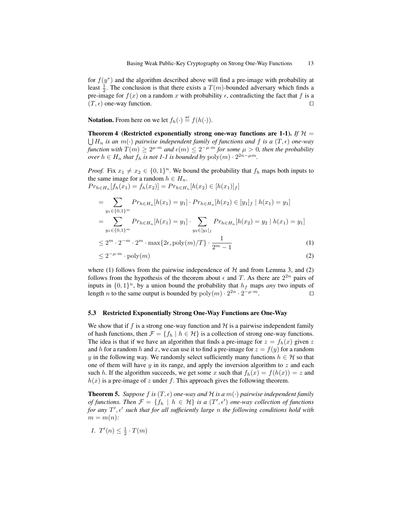for  $f(y^*)$  and the algorithm described above will find a pre-image with probability at least  $\frac{1}{2}$ . The conclusion is that there exists a  $T(m)$ -bounded adversary which finds a pre-image for  $f(x)$  on a random x with probability  $\epsilon$ , contradicting the fact that f is a  $(T, \epsilon)$  one-way function.

**Notation.** From here on we let  $f_h(\cdot) \stackrel{\text{def}}{=} f(h(\cdot)).$ 

Theorem 4 (Restricted exponentially strong one-way functions are 1-1). *If*  $H =$  $\bigcup H_n$  *is an*  $m(\cdot)$  *pairwise independent family of functions and f is a*  $(T, \epsilon)$  *one-way function with*  $T(m) \geq 2^{\mu \cdot m}$  and  $\epsilon(m) \leq 2^{-\mu \cdot m}$  *for some*  $\mu > 0$ *, then the probability over*  $h \in H_n$  *that*  $f_h$  *is not 1-1 is bounded by*  $\text{poly}(m) \cdot 2^{2n-\mu m}$ .

*Proof.* Fix  $x_1 \neq x_2 \in \{0,1\}^n$ . We bound the probability that  $f_h$  maps both inputs to the same image for a random  $h \in H_n$ .  $Pr_{h \in H_n}[f_h(x_1) = f_h(x_2)] = Pr_{h \in H_n}[h(x_2) \in [h(x_1)]_f]$ 

$$
= \sum_{y_1 \in \{0,1\}^m} Pr_{h \in H_n}[h(x_1) = y_1] \cdot Pr_{h \in H_n}[h(x_2) \in [y_1]_f | h(x_1) = y_1]
$$
  

$$
= \sum_{y_1 \in \{0,1\}^m} Pr_{h \in H_n}[h(x_1) = y_1] \cdot \sum_{y_2 \in [y_1]_f} Pr_{h \in H_n}[h(x_2) = y_2 | h(x_1) = y_1]
$$

$$
\leq 2^m \cdot 2^{-m} \cdot 2^m \cdot \max\{2\epsilon, \text{poly}(m)/T\} \cdot \frac{1}{2^m - 1} \tag{1}
$$

$$
\leq 2^{-\mu \cdot m} \cdot \text{poly}(m) \tag{2}
$$

where (1) follows from the pairwise independence of  $H$  and from Lemma 3, and (2) follows from the hypothesis of the theorem about  $\epsilon$  and T. As there are  $2^{2n}$  pairs of inputs in  $\{0,1\}^n$ , by a union bound the probability that  $h_f$  maps *any* two inputs of length *n* to the same output is bounded by  $\text{poly}(m) \cdot 2^{2n} \cdot 2^{-\mu \cdot m}$ .

### 5.3 Restricted Exponentially Strong One-Way Functions are One-Way

We show that if f is a strong one-way function and  $H$  is a pairwise independent family of hash functions, then  $\mathcal{F} = \{f_h \mid h \in \mathcal{H}\}\$ is a collection of strong one-way functions. The idea is that if we have an algorithm that finds a pre-image for  $z = f_h(x)$  given z and h for a random h and x, we can use it to find a pre-image for  $z = f(y)$  for a random y in the following way. We randomly select sufficiently many functions  $h \in \mathcal{H}$  so that one of them will have  $y$  in its range, and apply the inversion algorithm to  $z$  and each such h. If the algorithm succeeds, we get some x such that  $f_h(x) = f(h(x)) = z$  and  $h(x)$  is a pre-image of z under f. This approach gives the following theorem.

**Theorem 5.** *Suppose*  $f$  *is*  $(T, \epsilon)$  *one-way and*  $H$  *is a*  $m(\cdot)$  *pairwise independent family of functions. Then*  $\mathcal{F} = \{f_h \mid h \in \mathcal{H}\}\$  *is a*  $(T', \epsilon')$  *one-way collection of functions for any*  $T'$ ,  $\epsilon'$  such that for all sufficiently large n the following conditions hold with  $m = m(n)$ :

$$
I. T'(n) \le \frac{1}{2} \cdot T(m)
$$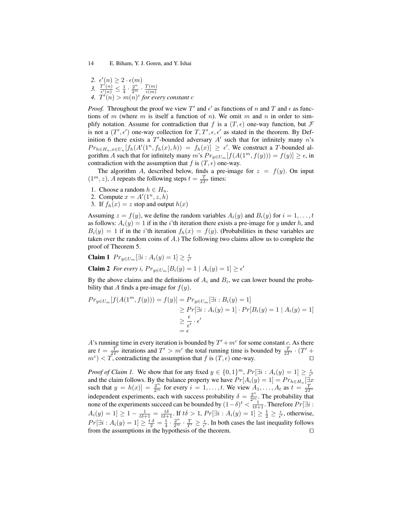14 E. Biham, Y. J. Goren, and Y. Ishai

2.  $\epsilon'(n) \geq 2 \cdot \epsilon(m)$ 3.  $\frac{T'(n)}{f'(n)}$  $\frac{T'(n)}{\epsilon'(n)} \leq \frac{1}{4} \cdot \frac{2^n}{2^m} \cdot \frac{T(m)}{\epsilon(m)}$  $\begin{array}{ll} \mathcal{F} & \epsilon(n) \leq 4 & 2^m & \epsilon(m) \\ \textbf{4.} & T'(n) > m(n)^c \text{ for every constant } c \end{array}$ 

*Proof.* Throughout the proof we view  $T'$  and  $\epsilon'$  as functions of n and T and  $\epsilon$  as functions of m (where m is itself a function of n). We omit m and n in order to simplify notation. Assume for contradiction that f is a  $(T, \epsilon)$  one-way function, but F is not a  $(T', \epsilon')$  one-way collection for  $T, T', \epsilon, \epsilon'$  as stated in the theorem. By Definition 6 there exists a  $T'$ -bounded adversary  $A'$  such that for infinitely many n's  $Pr_{h \in H_n, x \in U_n}[f_h(A'(1^n, f_h(x), h)) = f_h(x)] \ge \epsilon'$ . We construct a T-bounded algorithm A such that for infinitely many m's  $Pr_{y \in U_m}[f(A(1^m, f(y))) = f(y)] \ge \epsilon$ , in contradiction with the assumption that f is  $(T, \epsilon)$  one-way.

The algorithm A, described below, finds a pre-image for  $z = f(y)$ . On input  $(1^m, z)$ , A repeats the following steps  $t = \frac{T}{2T'}$  times:

- 1. Choose a random  $h \in H_n$ .
- 2. Compute  $x = A'(1^n, z, h)$
- 3. If  $f_h(x) = z$  stop and output  $h(x)$

Assuming  $z = f(y)$ , we define the random variables  $A_i(y)$  and  $B_i(y)$  for  $i = 1, \ldots, t$ as follows:  $A_i(y) = 1$  if in the *i*'th iteration there exists a pre-image for y under h, and  $B_i(y) = 1$  if in the *i*'th iteration  $f_h(x) = f(y)$ . (Probabilities in these variables are taken over the random coins of A.) The following two claims allow us to complete the proof of Theorem 5.

**Claim 1**  $Pr_{y \in U_m}[\exists i : A_i(y) = 1] \geq \frac{\epsilon}{\epsilon'}$ 

**Claim 2** For every i, 
$$
Pr_{y \in U_m}[B_i(y) = 1 | A_i(y) = 1] \ge \epsilon'
$$

By the above claims and the definitions of  $A_i$  and  $B_i$ , we can lower bound the probability that A finds a pre-image for  $f(y)$ .

$$
Pr_{y \in U_m}[f(A(1^m, f(y))) = f(y)] = Pr_{y \in U_m}[\exists i : B_i(y) = 1]
$$
  
\n
$$
\geq Pr[\exists i : A_i(y) = 1] \cdot Pr[B_i(y) = 1 | A_i(y) = 1]
$$
  
\n
$$
\geq \frac{\epsilon}{\epsilon'} \cdot \epsilon'
$$
  
\n
$$
= \epsilon
$$

A's running time in every iteration is bounded by  $T' + m^c$  for some constant c. As there are  $t = \frac{T}{2T'}$  iterations and  $T' > m^c$  the total running time is bounded by  $\frac{T}{2T'} \cdot (T' +$  $(m^{c}) < T$ , contradicting the assumption that f is  $(T, \epsilon)$  one-way.

*Proof of Claim 1.* We show that for any fixed  $y \in \{0, 1\}^m$ ,  $Pr[\exists i : A_i(y) = 1] \ge \frac{\epsilon}{\epsilon'}$ and the claim follows. By the balance property we have  $Pr[A_i(y) = 1] = Pr_{h \in H_n}[\exists x$ such that  $y = h(x)$  =  $\frac{2^n}{2^m}$  for every  $i = 1, \ldots, t$ . We view  $A_1, \ldots, A_t$  as  $t = \frac{T}{2T'}$ independent experiments, each with success probability  $\delta = \frac{2^n}{2^m}$ . The probability that none of the experiments succeed can be bounded by  $(1-\delta)^t < \frac{1}{t\delta+1}$ . Therefore  $Pr[\exists i$ :  $A_i(y) = 1 \geq 1 - \frac{1}{t\delta + 1} = \frac{t\delta}{t\delta + 1}$ . If  $t\delta > 1$ ,  $Pr[\exists i : A_i(y) = 1] \geq \frac{1}{2} \geq \frac{\epsilon}{\epsilon'}$ , otherwise,  $Pr[\exists i : A_i(y) = 1] \ge \frac{t \cdot \delta}{2} = \frac{1}{4} \cdot \frac{2^n}{2^m} \cdot \frac{T}{T'} \ge \frac{\epsilon}{\epsilon'}$ . In both cases the last inequality follows from the assumptions in the hypothesis of the theorem.  $\Box$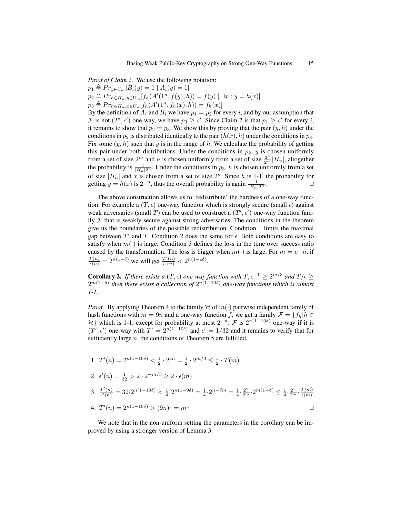*Proof of Claim 2.* We use the following notation:

 $p_1 \triangleq Pr_{y \in U_m}[B_i(y) = 1 | A_i(y) = 1]$ 

 $p_2 \triangleq Pr_{h \in H_n, y \in U_m}[f_h(A'(1^n, f(y), h)) = f(y) | \exists x : y = h(x)]$  $p_3 \triangleq Pr_{h \in H_n, x \in U_n}[f_h(A'(1^n, f_h(x), h)) = f_h(x)]$ 

By the definition of  $A_i$  and  $B_i$  we have  $p_1 = p_2$  for every i, and by our assumption that F is not  $(T', \epsilon')$  one-way, we have  $p_3 \ge \epsilon'$ . Since Claim 2 is that  $p_1 \ge \epsilon'$  for every i, it remains to show that  $p_2 = p_3$ . We show this by proving that the pair  $(y, h)$  under the conditions in  $p_2$  is distributed identically to the pair  $(h(x), h)$  under the conditions in  $p_3$ . Fix some  $(y, h)$  such that y is in the range of h. We calculate the probability of getting this pair under both distributions. Under the conditions in  $p_2$ , y is chosen uniformly from a set of size  $2^m$  and h is chosen uniformly from a set of size  $\frac{2^m}{2^m}|H_n|$ , altogether the probability is  $\frac{1}{|H_n|2^n}$ . Under the conditions in  $p_3$ , h is chosen uniformly from a set of size  $|H_n|$  and x is chosen from a set of size  $2^n$ . Since h is 1-1, the probability for getting  $y = h(x)$  is  $2^{-n}$ , thus the overall probability is again  $\frac{1}{|H_n|2^n}$ .

The above construction allows us to 'redistribute' the hardness of a one-way function. For example a  $(T, \epsilon)$  one-way function which is strongly secure (small  $\epsilon$ ) against weak adversaries (small T) can be used to construct a  $(T', \epsilon')$  one-way function family  $F$  that is weakly secure against strong adversaries. The conditions in the theorem give us the boundaries of the possible redistribution. Condition 1 limits the maximal gap between  $T'$  and  $T$ . Condition 2 does the same for  $\epsilon$ . Both conditions are easy to satisfy when  $m(\cdot)$  is large. Condition 3 defines the loss in the time over success ratio caused by the transformation. The loss is bigger when  $m(\cdot)$  is large. For  $m = c \cdot n$ , if  $\frac{T(n)}{\epsilon(n)} = 2^{n(1-\delta)}$  we will get  $\frac{T'(n)}{\epsilon'(n)}$  $\frac{T'(n)}{\epsilon'(n)} < 2^{n(1-c\delta)}.$ 

**Corollary 2.** If there exists a  $(T, \epsilon)$  one-way function with  $T, \epsilon^{-1} \geq 2^{m/3}$  and  $T/\epsilon \geq$ 2 m(1−δ) *then there exists a collection of* 2 <sup>n</sup>(1−10δ) *one-way functions which is almost 1-1.*

*Proof.* By applying Theorem 4 to the family  $H$  of  $m(\cdot)$  pairwise independent family of hash functions with  $m = 9n$  and a one-way function f, we get a family  $\mathcal{F} = \{f_h | h \in$  $\mathcal{H}$ } which is 1-1, except for probability at most  $2^{-n}$ .  $\mathcal{F}$  is  $2^{n(1-10\delta)}$  one-way if it is  $(T', \epsilon')$  one-way with  $T' = 2^{n(1-10\delta)}$  and  $\epsilon' = 1/32$  and it remains to verify that for sufficiently large  $n$ , the conditions of Theorem 5 are fulfilled.

- 1.  $T'(n) = 2^{n(1-10\delta)} < \frac{1}{2} \cdot 2^{3n} = \frac{1}{2} \cdot 2^{m/3} \le \frac{1}{2} \cdot T(m)$
- 2.  $\epsilon'(n) = \frac{1}{32} > 2 \cdot 2^{-m/3} \geq 2 \cdot \epsilon(m)$ 3.  $\frac{T'(n)}{f'(n)}$  $\frac{T'(n)}{\epsilon'(n)} = 32 \cdot 2^{n(1-10\delta)} < \frac{1}{4} \cdot 2^{n(1-9\delta)} = \frac{1}{4} \cdot 2^{n-\delta m} = \frac{1}{4} \cdot \frac{2^n}{2^m} \cdot 2^{m(1-\delta)} \leq \frac{1}{4} \cdot \frac{2^n}{2^m} \cdot \frac{T(m)}{\epsilon(m)}$

4. 
$$
T'(n) = 2^{n(1-10\delta)} > (9n)^c = m^c
$$

We note that in the non-uniform setting the parameters in the corollary can be improved by using a stronger version of Lemma 3.

 $\overline{\epsilon(m)}$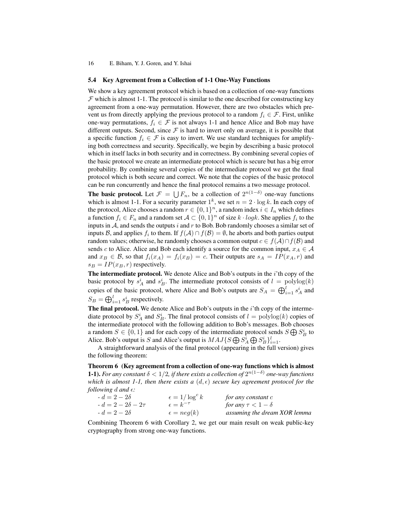#### 5.4 Key Agreement from a Collection of 1-1 One-Way Functions

We show a key agreement protocol which is based on a collection of one-way functions  $\mathcal F$  which is almost 1-1. The protocol is similar to the one described for constructing key agreement from a one-way permutation. However, there are two obstacles which prevent us from directly applying the previous protocol to a random  $f_i \in \mathcal{F}$ . First, unlike one-way permutations,  $f_i \in \mathcal{F}$  is not always 1-1 and hence Alice and Bob may have different outputs. Second, since  $\mathcal F$  is hard to invert only on average, it is possible that a specific function  $f_i \in \mathcal{F}$  is easy to invert. We use standard techniques for amplifying both correctness and security. Specifically, we begin by describing a basic protocol which in itself lacks in both security and in correctness. By combining several copies of the basic protocol we create an intermediate protocol which is secure but has a big error probability. By combining several copies of the intermediate protocol we get the final protocol which is both secure and correct. We note that the copies of the basic protocol can be run concurrently and hence the final protocol remains a two message protocol.

The basic protocol. Let  $\mathcal{F} = \bigcup F_n$ , be a collection of  $2^{n(1-\delta)}$  one-way functions which is almost 1-1. For a security parameter  $1^k$ , we set  $n = 2 \cdot \log k$ . In each copy of the protocol, Alice chooses a random  $r \in \{0, 1\}^n$ , a random index  $i \in I_n$  which defines a function  $f_i \in F_n$  and a random set  $\mathcal{A} \subset \{0,1\}^n$  of size  $k \cdot log k$ . She applies  $f_i$  to the inputs in  $A$ , and sends the outputs i and r to Bob. Bob randomly chooses a similar set of inputs B, and applies  $f_i$  to them. If  $f(A) \cap f(B) = \emptyset$ , he aborts and both parties output random values; otherwise, he randomly chooses a common output  $c \in f(\mathcal{A}) \cap f(\mathcal{B})$  and sends c to Alice. Alice and Bob each identify a source for the common input,  $x_A \in \mathcal{A}$ and  $x_B \in \mathcal{B}$ , so that  $f_i(x_A) = f_i(x_B) = c$ . Their outputs are  $s_A = IP(x_A, r)$  and  $s_B = IP(x_B, r)$  respectively.

The intermediate protocol. We denote Alice and Bob's outputs in the  $i$ 'th copy of the basic protocol by  $s_A^i$  and  $s_B^i$ . The intermediate protocol consists of  $l = \text{polylog}(k)$ copies of the basic protocol, where Alice and Bob's outputs are  $S_A = \bigoplus_{i=1}^{l} s_A^i$  and  $S_B = \bigoplus_{i=1}^l s_B^i$  respectively.

The final protocol. We denote Alice and Bob's outputs in the  $i$ 'th copy of the intermediate protocol by  $S_A^i$  and  $S_B^i$ . The final protocol consists of  $l = \text{polylog}(k)$  copies of the intermediate protocol with the following addition to Bob's messages. Bob chooses a random  $S \in \{0, 1\}$  and for each copy of the intermediate protocol sends  $S \bigoplus S_B^i$  to a random  $S \in \{0, 1\}$  and for each copy of the intermediate protocol send<br>Alice. Bob's output is S and Alice's output is  $MAJ\{S \bigoplus S_A^i \bigoplus S_B^i\}_{i=1}^l$ .

A straightforward analysis of the final protocol (appearing in the full version) gives the following theorem:

Theorem 6 (Key agreement from a collection of one-way functions which is almost **1-1).** For any constant  $\delta < 1/2$ , if there exists a collection of  $2^{n(1-\delta)}$  one-way functions *which is almost 1-1, then there exists a*  $(d, \epsilon)$  *secure key agreement protocol for the following*  $d$  *and*  $\epsilon$ *:* 

| $-d=2-2\delta$             | $\epsilon = 1/\log^c k$ | for any constant c           |
|----------------------------|-------------------------|------------------------------|
| $-d = 2 - 2\delta - 2\tau$ | $\epsilon = k^{-\tau}$  | for any $\tau < 1 - \delta$  |
| $d = 2 - 2\delta$          | $\epsilon = neg(k)$     | assuming the dream XOR lemma |

Combining Theorem 6 with Corollary 2, we get our main result on weak public-key cryptography from strong one-way functions.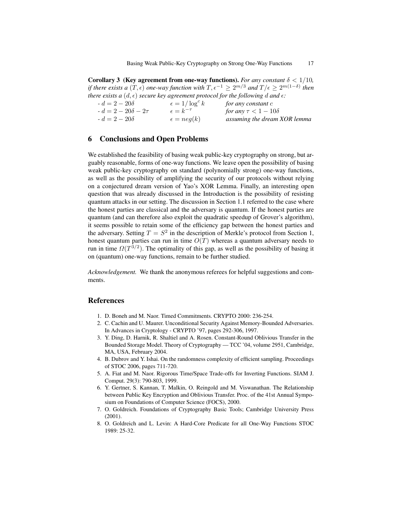Corollary 3 (Key agreement from one-way functions). *For any constant*  $\delta < 1/10$ , *if there exists a*  $(T, \epsilon)$  *one-way function with*  $T, \epsilon^{-1} \geq 2^{m/3}$  *and*  $T/\epsilon \geq 2^{m(1-\delta)}$  *then there exists a*  $(d, \epsilon)$  *secure key agreement protocol for the following d and*  $\epsilon$ *:* 

| $d = 2 - 20\delta$         | $\epsilon = 1/\log^c k$ | for any constant c            |
|----------------------------|-------------------------|-------------------------------|
| $d = 2 - 20\delta - 2\tau$ | $\epsilon = k^{-\tau}$  | for any $\tau < 1 - 10\delta$ |
| $d = 2 - 20\delta$         | $\epsilon = neq(k)$     | assuming the dream XOR lemma  |

# 6 Conclusions and Open Problems

We established the feasibility of basing weak public-key cryptography on strong, but arguably reasonable, forms of one-way functions. We leave open the possibility of basing weak public-key cryptography on standard (polynomially strong) one-way functions, as well as the possibility of amplifying the security of our protocols without relying on a conjectured dream version of Yao's XOR Lemma. Finally, an interesting open question that was already discussed in the Introduction is the possibility of resisting quantum attacks in our setting. The discussion in Section 1.1 referred to the case where the honest parties are classical and the adversary is quantum. If the honest parties are quantum (and can therefore also exploit the quadratic speedup of Grover's algorithm), it seems possible to retain some of the efficiency gap between the honest parties and the adversary. Setting  $T = S^2$  in the description of Merkle's protocol from Section 1, honest quantum parties can run in time  $O(T)$  whereas a quantum adversary needs to run in time  $\Omega(T^{3/2})$ . The optimality of this gap, as well as the possibility of basing it on (quantum) one-way functions, remain to be further studied.

*Acknowledgement.* We thank the anonymous referees for helpful suggestions and comments.

## References

- 1. D. Boneh and M. Naor. Timed Commitments. CRYPTO 2000: 236-254.
- 2. C. Cachin and U. Maurer. Unconditional Security Against Memory-Bounded Adversaries. In Advances in Cryptology - CRYPTO '97, pages 292-306, 1997.
- 3. Y. Ding, D. Harnik, R. Shaltiel and A. Rosen. Constant-Round Oblivious Transfer in the Bounded Storage Model. Theory of Cryptography — TCC '04, volume 2951, Cambridge, MA, USA, February 2004.
- 4. B. Dubrov and Y. Ishai. On the randomness complexity of efficient sampling. Proceedings of STOC 2006, pages 711-720.
- 5. A. Fiat and M. Naor. Rigorous Time/Space Trade-offs for Inverting Functions. SIAM J. Comput. 29(3): 790-803, 1999.
- 6. Y. Gertner, S. Kannan, T. Malkin, O. Reingold and M. Viswanathan. The Relationship between Public Key Encryption and Oblivious Transfer. Proc. of the 41st Annual Symposium on Foundations of Computer Science (FOCS), 2000.
- 7. O. Goldreich. Foundations of Cryptography Basic Tools; Cambridge University Press (2001).
- 8. O. Goldreich and L. Levin: A Hard-Core Predicate for all One-Way Functions STOC 1989: 25-32.